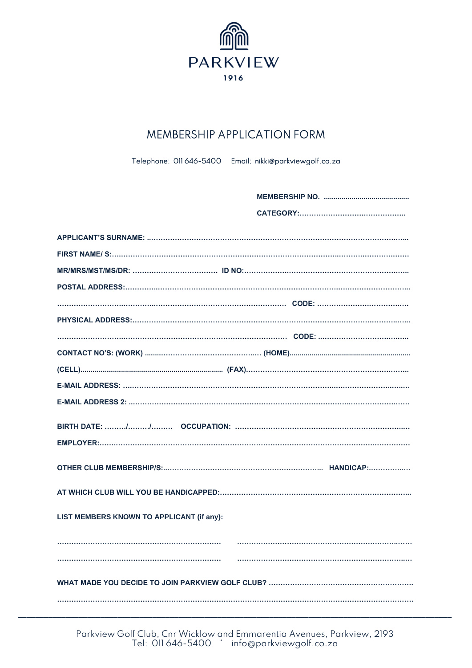

## **MEMBERSHIP APPLICATION FORM**

Telephone: 011 646-5400 Email: nikki@parkviewgolf.co.za

| LIST MEMBERS KNOWN TO APPLICANT (if any): |  |  |  |
|-------------------------------------------|--|--|--|
|                                           |  |  |  |
|                                           |  |  |  |
|                                           |  |  |  |
|                                           |  |  |  |